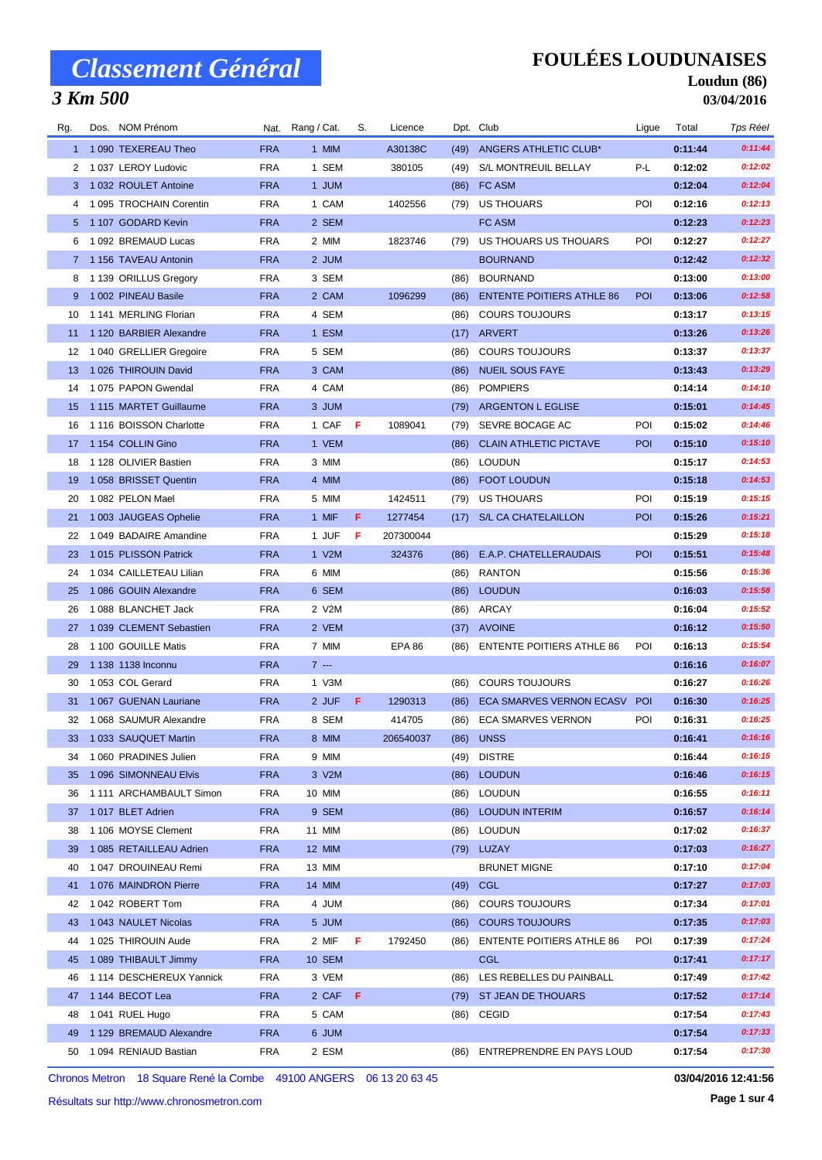### *3 Km 500*

## **FOULÉES LOUDUNAISES**

#### **Loudun (86) 03/04/2016**

| Rg. | Dos. NOM Prénom                                  |                          | Nat. Rang / Cat. | S. | Licence       |      | Dpt. Club                        | Ligue      | Total              | Tps Réel |
|-----|--------------------------------------------------|--------------------------|------------------|----|---------------|------|----------------------------------|------------|--------------------|----------|
|     | 1 1090 TEXEREAU Theo                             | <b>FRA</b>               | 1 MIM            |    | A30138C       | (49) | ANGERS ATHLETIC CLUB*            |            | 0:11:44            | 0:11:44  |
|     | 2 1 037 LEROY Ludovic                            | <b>FRA</b>               | 1 SEM            |    | 380105        | (49) | S/L MONTREUIL BELLAY             | P-L        | 0:12:02            | 0:12:02  |
|     | 3 1 032 ROULET Antoine                           | <b>FRA</b>               | 1 JUM            |    |               | (86) | FC ASM                           |            | 0:12:04            | 0:12:04  |
|     | 4 1 095 TROCHAIN Corentin                        | <b>FRA</b>               | 1 CAM            |    | 1402556       | (79) | US THOUARS                       | POI        | 0:12:16            | 0:12:13  |
|     | 5 1 107 GODARD Kevin                             | <b>FRA</b>               | 2 SEM            |    |               |      | FC ASM                           |            | 0:12:23            | 0:12:23  |
| 6   | 1 092 BREMAUD Lucas                              | <b>FRA</b>               | 2 MIM            |    | 1823746       | (79) | US THOUARS US THOUARS            | POI        | 0:12:27            | 0:12:27  |
|     | 7 1156 TAVEAU Antonin                            | <b>FRA</b>               | 2 JUM            |    |               |      | <b>BOURNAND</b>                  |            | 0:12:42            | 0:12:32  |
|     | 8 1 139 ORILLUS Gregory                          | <b>FRA</b>               | 3 SEM            |    |               | (86) | <b>BOURNAND</b>                  |            | 0:13:00            | 0:13:00  |
| 9   | 1 002 PINEAU Basile                              | <b>FRA</b>               | 2 CAM            |    | 1096299       | (86) | <b>ENTENTE POITIERS ATHLE 86</b> | <b>POI</b> | 0:13:06            | 0:12:58  |
| 10  | 1 141 MERLING Florian                            | <b>FRA</b>               | 4 SEM            |    |               | (86) | <b>COURS TOUJOURS</b>            |            | 0:13:17            | 0:13:15  |
| 11  | 1 120 BARBIER Alexandre                          | <b>FRA</b>               | 1 ESM            |    |               | (17) | ARVERT                           |            | 0:13:26            | 0:13:26  |
| 12  | 1 040 GRELLIER Gregoire                          | <b>FRA</b>               | 5 SEM            |    |               | (86) | <b>COURS TOUJOURS</b>            |            | 0:13:37            | 0:13:37  |
| 13  | 1 026 THIROUIN David                             | <b>FRA</b>               | 3 CAM            |    |               | (86) | <b>NUEIL SOUS FAYE</b>           |            | 0:13:43            | 0:13:29  |
| 14  | 1075 PAPON Gwendal                               | <b>FRA</b>               | 4 CAM            |    |               | (86) | <b>POMPIERS</b>                  |            | 0:14:14            | 0:14:10  |
| 15  | 1115 MARTET Guillaume                            | <b>FRA</b>               | 3 JUM            |    |               | (79) | <b>ARGENTON L EGLISE</b>         |            | 0:15:01            | 0:14:45  |
| 16  | 1 116 BOISSON Charlotte                          | <b>FRA</b>               | 1 CAF F          |    | 1089041       | (79) | SEVRE BOCAGE AC                  | POI        | 0:15:02            | 0:14:46  |
| 17  | 1 154 COLLIN Gino                                | <b>FRA</b>               | 1 VEM            |    |               | (86) | <b>CLAIN ATHLETIC PICTAVE</b>    | <b>POI</b> | 0:15:10            | 0:15:10  |
| 18  | 1 128 OLIVIER Bastien                            | <b>FRA</b>               | 3 MIM            |    |               | (86) | <b>LOUDUN</b>                    |            | 0:15:17            | 0:14:53  |
| 19  | 1058 BRISSET Quentin                             | <b>FRA</b>               | 4 MIM            |    |               | (86) | <b>FOOT LOUDUN</b>               |            | 0:15:18            | 0:14:53  |
| 20  | 1082 PELON Mael                                  | <b>FRA</b>               | 5 MIM            |    | 1424511       | (79) | US THOUARS                       | POI        | 0:15:19            | 0:15:15  |
| 21  | 1 003 JAUGEAS Ophelie                            | <b>FRA</b>               | 1 MIF            | F. | 1277454       |      | (17) S/L CA CHATELAILLON         | POI        | 0:15:26            | 0:15:21  |
| 22  | 1049 BADAIRE Amandine                            | <b>FRA</b>               | 1 JUF            | F  | 207300044     |      |                                  |            | 0:15:29            | 0:15:18  |
| 23  | 1015 PLISSON Patrick                             | <b>FRA</b>               | 1 V2M            |    | 324376        | (86) | E.A.P. CHATELLERAUDAIS           | POI        | 0:15:51            | 0:15:48  |
| 24  | 1 034 CAILLETEAU Lilian                          | <b>FRA</b>               | 6 MIM            |    |               | (86) | <b>RANTON</b>                    |            | 0:15:56            | 0:15:36  |
| 25  | 1 086 GOUIN Alexandre                            | <b>FRA</b>               | 6 SEM            |    |               | (86) | <b>LOUDUN</b>                    |            | 0:16:03            | 0:15:58  |
| 26  | 1088 BLANCHET Jack                               | <b>FRA</b>               | 2 V2M            |    |               |      | (86) ARCAY                       |            | 0:16:04            | 0:15:52  |
| 27  | 1 039 CLEMENT Sebastien                          | <b>FRA</b>               | 2 VEM            |    |               |      | (37) AVOINE                      |            | 0:16:12            | 0:15:50  |
| 28  | 1 100 GOUILLE Matis                              | <b>FRA</b>               | 7 MIM            |    | <b>EPA 86</b> | (86) | <b>ENTENTE POITIERS ATHLE 86</b> | POI        | 0:16:13            | 0:15:54  |
| 29  | 1 138 1138 Inconnu                               | <b>FRA</b>               | $7 - -$          |    |               |      |                                  |            | 0:16:16            | 0:16:07  |
| 30  | 1053 COL Gerard                                  | <b>FRA</b>               | 1 V3M            |    |               | (86) | <b>COURS TOUJOURS</b>            |            | 0:16:27            | 0:16:26  |
| 31  | 1 067 GUENAN Lauriane                            | <b>FRA</b>               | 2 JUF            | F. | 1290313       | (86) | <b>ECA SMARVES VERNON ECASV</b>  | <b>POI</b> | 0:16:30            | 0:16:25  |
| 32  | 1 068 SAUMUR Alexandre                           | <b>FRA</b>               | 8 SEM            |    | 414705        | (86) | <b>ECA SMARVES VERNON</b>        | POI        | 0:16:31            | 0:16:25  |
| 33  | 1 033 SAUQUET Martin                             | <b>FRA</b>               | 8 MIM            |    | 206540037     |      | (86) UNSS                        |            | 0:16:41            | 0:16:16  |
|     | 1 060 PRADINES Julien                            | <b>FRA</b>               | 9 MIM            |    |               |      | <b>DISTRE</b>                    |            | 0:16:44            | 0:16:15  |
| 34  |                                                  |                          |                  |    |               | (49) |                                  |            |                    | 0:16:15  |
| 35  | 1 096 SIMONNEAU Elvis<br>1 111 ARCHAMBAULT Simon | <b>FRA</b><br><b>FRA</b> | 3 V2M<br>10 MIM  |    |               | (86) | <b>LOUDUN</b><br><b>LOUDUN</b>   |            | 0:16:46<br>0:16:55 | 0:16:11  |
| 36  |                                                  |                          |                  |    |               | (86) |                                  |            |                    | 0:16:14  |
| 37  | 1017 BLET Adrien                                 | <b>FRA</b>               | 9 SEM            |    |               |      | (86) LOUDUN INTERIM              |            | 0:16:57            | 0:16:37  |
| 38  | 1 106 MOYSE Clement                              | <b>FRA</b>               | 11 MIM           |    |               | (86) | LOUDUN                           |            | 0:17:02            | 0:16:27  |
| 39  | 1 085 RETAILLEAU Adrien                          | <b>FRA</b>               | 12 MIM           |    |               |      | (79) LUZAY                       |            | 0:17:03            |          |
| 40  | 1047 DROUINEAU Remi                              | <b>FRA</b>               | 13 MIM           |    |               |      | <b>BRUNET MIGNE</b>              |            | 0:17:10            | 0:17:04  |
| 41  | 1076 MAINDRON Pierre                             | <b>FRA</b>               | 14 MIM           |    |               | (49) | <b>CGL</b>                       |            | 0:17:27            | 0:17:03  |
| 42  | 1042 ROBERT Tom                                  | <b>FRA</b>               | 4 JUM            |    |               | (86) | <b>COURS TOUJOURS</b>            |            | 0:17:34            | 0:17:01  |
| 43  | 1 043 NAULET Nicolas                             | <b>FRA</b>               | 5 JUM            |    |               | (86) | <b>COURS TOUJOURS</b>            |            | 0:17:35            | 0:17:03  |
| 44  | 1 025 THIROUIN Aude                              | <b>FRA</b>               | 2 MIF            | F  | 1792450       | (86) | <b>ENTENTE POITIERS ATHLE 86</b> | POI        | 0:17:39            | 0:17:24  |
| 45  | 1 089 THIBAULT Jimmy                             | <b>FRA</b>               | <b>10 SEM</b>    |    |               |      | <b>CGL</b>                       |            | 0:17:41            | 0:17:17  |
| 46  | 1114 DESCHEREUX Yannick                          | <b>FRA</b>               | 3 VEM            |    |               | (86) | LES REBELLES DU PAINBALL         |            | 0:17:49            | 0:17:42  |
| 47  | 1 144 BECOT Lea                                  | <b>FRA</b>               | 2 CAF F          |    |               | (79) | ST JEAN DE THOUARS               |            | 0:17:52            | 0:17:14  |
| 48  | 1041 RUEL Hugo                                   | <b>FRA</b>               | 5 CAM            |    |               |      | $(86)$ CEGID                     |            | 0:17:54            | 0:17:43  |
| 49  | 1 129 BREMAUD Alexandre                          | <b>FRA</b>               | 6 JUM            |    |               |      |                                  |            | 0:17:54            | 0:17:33  |
| 50  | 1 094 RENIAUD Bastian                            | <b>FRA</b>               | 2 ESM            |    |               | (86) | ENTREPRENDRE EN PAYS LOUD        |            | 0:17:54            | 0:17:30  |

Chronos Metron 18 Square René la Combe 49100 ANGERS 06 13 20 63 45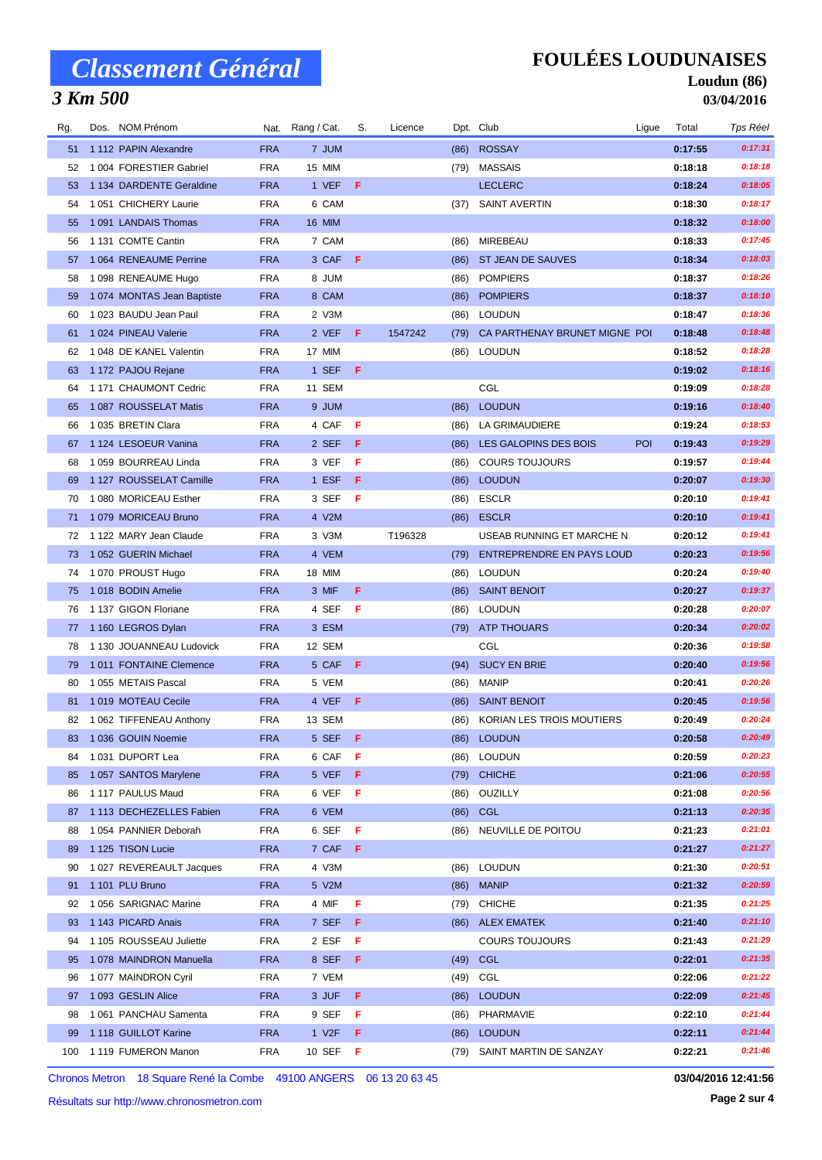### *3 Km 500*

## **FOULÉES LOUDUNAISES**

#### **Loudun (86) 03/04/2016**

| Rg. | Dos. NOM Prénom           |            | Nat. Rang / Cat. | S.  | Licence |      | Dpt. Club                          | Ligue      | Total   | Tps Réel |
|-----|---------------------------|------------|------------------|-----|---------|------|------------------------------------|------------|---------|----------|
| 51  | 1 112 PAPIN Alexandre     | <b>FRA</b> | 7 JUM            |     |         | (86) | <b>ROSSAY</b>                      |            | 0:17:55 | 0:17:31  |
| 52  | 1004 FORESTIER Gabriel    | <b>FRA</b> | 15 MIM           |     |         |      | (79) MASSAIS                       |            | 0:18:18 | 0:18:18  |
| 53  | 1 134 DARDENTE Geraldine  | <b>FRA</b> | 1 VEF            | F   |         |      | <b>LECLERC</b>                     |            | 0:18:24 | 0:18:05  |
| 54  | 1051 CHICHERY Laurie      | <b>FRA</b> | 6 CAM            |     |         | (37) | <b>SAINT AVERTIN</b>               |            | 0:18:30 | 0:18:17  |
| 55  | 1091 LANDAIS Thomas       | <b>FRA</b> | <b>16 MIM</b>    |     |         |      |                                    |            | 0:18:32 | 0:18:00  |
| 56  | 1 131 COMTE Cantin        | <b>FRA</b> | 7 CAM            |     |         | (86) | MIREBEAU                           |            | 0:18:33 | 0:17:45  |
| 57  | 1064 RENEAUME Perrine     | <b>FRA</b> | 3 CAF F          |     |         |      | (86) ST JEAN DE SAUVES             |            | 0:18:34 | 0:18:03  |
| 58  | 1 098 RENEAUME Hugo       | <b>FRA</b> | 8 JUM            |     |         | (86) | <b>POMPIERS</b>                    |            | 0:18:37 | 0:18:26  |
| 59  | 1074 MONTAS Jean Baptiste | <b>FRA</b> | 8 CAM            |     |         | (86) | <b>POMPIERS</b>                    |            | 0:18:37 | 0:18:10  |
| 60  | 1023 BAUDU Jean Paul      | <b>FRA</b> | 2 V3M            |     |         | (86) | <b>LOUDUN</b>                      |            | 0:18:47 | 0:18:36  |
| 61  | 1024 PINEAU Valerie       | <b>FRA</b> | 2 VEF            | -F  | 1547242 |      | (79) CA PARTHENAY BRUNET MIGNE POI |            | 0:18:48 | 0:18:48  |
| 62  | 1 048 DE KANEL Valentin   | <b>FRA</b> | 17 MIM           |     |         | (86) | <b>LOUDUN</b>                      |            | 0:18:52 | 0:18:28  |
| 63  | 1 172 PAJOU Rejane        | <b>FRA</b> | 1 SEF            | F   |         |      |                                    |            | 0:19:02 | 0:18:16  |
| 64  | 1 171 CHAUMONT Cedric     | <b>FRA</b> | 11 SEM           |     |         |      | CGL                                |            | 0:19:09 | 0:18:28  |
| 65  | 1087 ROUSSELAT Matis      | <b>FRA</b> | 9 JUM            |     |         | (86) | <b>LOUDUN</b>                      |            | 0:19:16 | 0:18:40  |
| 66  | 1035 BRETIN Clara         | <b>FRA</b> | 4 CAF            | F   |         | (86) | <b>LA GRIMAUDIERE</b>              |            | 0:19:24 | 0:18:53  |
| 67  | 1 124 LESOEUR Vanina      | <b>FRA</b> | 2 SEF            | F   |         | (86) | LES GALOPINS DES BOIS              | <b>POI</b> | 0:19:43 | 0:19:29  |
| 68  | 1 059 BOURREAU Linda      | <b>FRA</b> | 3 VEF            | F   |         | (86) | <b>COURS TOUJOURS</b>              |            | 0:19:57 | 0:19:44  |
| 69  | 1 127 ROUSSELAT Camille   | <b>FRA</b> | 1 ESF            | F   |         | (86) | <b>LOUDUN</b>                      |            | 0:20:07 | 0:19:30  |
| 70  | 1080 MORICEAU Esther      | <b>FRA</b> | 3 SEF            | F   |         |      | (86) ESCLR                         |            | 0:20:10 | 0:19:41  |
| 71  | 1079 MORICEAU Bruno       | <b>FRA</b> | 4 V2M            |     |         | (86) | <b>ESCLR</b>                       |            | 0:20:10 | 0:19:41  |
| 72  | 1 122 MARY Jean Claude    | <b>FRA</b> | 3 V3M            |     | T196328 |      | USEAB RUNNING ET MARCHE N          |            | 0:20:12 | 0:19:41  |
| 73  | 1052 GUERIN Michael       | <b>FRA</b> | 4 VEM            |     |         | (79) | <b>ENTREPRENDRE EN PAYS LOUD</b>   |            | 0:20:23 | 0:19:56  |
| 74  | 1070 PROUST Hugo          | <b>FRA</b> | 18 MIM           |     |         | (86) | LOUDUN                             |            | 0:20:24 | 0:19:40  |
| 75  | 1018 BODIN Amelie         | <b>FRA</b> | 3 MIF            | F   |         | (86) | <b>SAINT BENOIT</b>                |            | 0:20:27 | 0:19:37  |
| 76  | 1 137 GIGON Floriane      | <b>FRA</b> | 4 SEF            | F   |         | (86) | <b>LOUDUN</b>                      |            | 0:20:28 | 0:20:07  |
| 77  | 1 160 LEGROS Dylan        | <b>FRA</b> | 3 ESM            |     |         | (79) | <b>ATP THOUARS</b>                 |            | 0:20:34 | 0:20:02  |
| 78  | 1 130 JOUANNEAU Ludovick  | <b>FRA</b> | 12 SEM           |     |         |      | CGL                                |            | 0:20:36 | 0:19:58  |
| 79  | 1011 FONTAINE Clemence    | <b>FRA</b> | 5 CAF            | F   |         | (94) | <b>SUCY EN BRIE</b>                |            | 0:20:40 | 0:19:56  |
| 80  | 1 055 METAIS Pascal       | <b>FRA</b> | 5 VEM            |     |         | (86) | <b>MANIP</b>                       |            | 0:20:41 | 0:20:26  |
| 81  | 1019 MOTEAU Cecile        | <b>FRA</b> | 4 VEF            | F   |         |      | (86) SAINT BENOIT                  |            | 0:20:45 | 0:19:56  |
| 82  | 1 062 TIFFENEAU Anthony   | <b>FRA</b> | 13 SEM           |     |         | (86) | <b>KORIAN LES TROIS MOUTIERS</b>   |            | 0:20:49 | 0:20:24  |
|     | 83 1 036 GOUIN Noemie     | <b>FRA</b> | 5 SEF F          |     |         |      | (86) LOUDUN                        |            | 0:20:58 | 0:20:49  |
| 84  | 1031 DUPORT Lea           | <b>FRA</b> | 6 CAF            | - F |         |      | (86) LOUDUN                        |            | 0:20:59 | 0:20:23  |
| 85  | 1057 SANTOS Marylene      | <b>FRA</b> | 5 VEF F          |     |         |      | (79) CHICHE                        |            | 0:21:06 | 0:20:55  |
| 86  | 1 117 PAULUS Maud         | <b>FRA</b> | 6 VEF F          |     |         |      | (86) OUZILLY                       |            | 0:21:08 | 0:20:56  |
| 87  | 1 113 DECHEZELLES Fabien  | <b>FRA</b> | 6 VEM            |     |         |      | (86) CGL                           |            | 0:21:13 | 0:20:35  |
| 88  | 1054 PANNIER Deborah      | <b>FRA</b> | 6 SEF            | F   |         |      | (86) NEUVILLE DE POITOU            |            | 0:21:23 | 0:21:01  |
| 89  | 1 125 TISON Lucie         | <b>FRA</b> | 7 CAF F          |     |         |      |                                    |            | 0:21:27 | 0:21:27  |
| 90  | 1027 REVEREAULT Jacques   | <b>FRA</b> | 4 V3M            |     |         |      | (86) LOUDUN                        |            | 0:21:30 | 0:20:51  |
| 91  | 1 101 PLU Bruno           | <b>FRA</b> | 5 V2M            |     |         | (86) | <b>MANIP</b>                       |            | 0:21:32 | 0:20:59  |
| 92  | 1056 SARIGNAC Marine      | <b>FRA</b> | 4 MIF            | F   |         |      | (79) CHICHE                        |            | 0:21:35 | 0:21:25  |
| 93  | 1 143 PICARD Anais        | <b>FRA</b> | 7 SEF            | F.  |         |      | (86) ALEX EMATEK                   |            | 0:21:40 | 0:21:10  |
| 94  | 1 105 ROUSSEAU Juliette   | <b>FRA</b> | 2 ESF            | F   |         |      | <b>COURS TOUJOURS</b>              |            | 0:21:43 | 0:21:29  |
| 95  | 1078 MAINDRON Manuella    | <b>FRA</b> | 8 SEF            | F.  |         |      | (49) CGL                           |            | 0:22:01 | 0:21:35  |
| 96  | 1077 MAINDRON Cyril       | <b>FRA</b> | 7 VEM            |     |         |      | (49) CGL                           |            | 0:22:06 | 0:21:22  |
| 97  | 1 093 GESLIN Alice        | <b>FRA</b> | 3 JUF            | F   |         |      | (86) LOUDUN                        |            | 0:22:09 | 0:21:45  |
| 98  | 1061 PANCHAU Samenta      | <b>FRA</b> | 9 SEF            | F.  |         | (86) | PHARMAVIE                          |            | 0:22:10 | 0:21:44  |
| 99  | 1 118 GUILLOT Karine      | <b>FRA</b> | 1 V2F            | F.  |         |      | (86) LOUDUN                        |            | 0:22:11 | 0:21:44  |
| 100 | 1119 FUMERON Manon        | <b>FRA</b> | 10 SEF           | - F |         |      | (79) SAINT MARTIN DE SANZAY        |            | 0:22:21 | 0:21:46  |

Chronos Metron 18 Square René la Combe 49100 ANGERS 06 13 20 63 45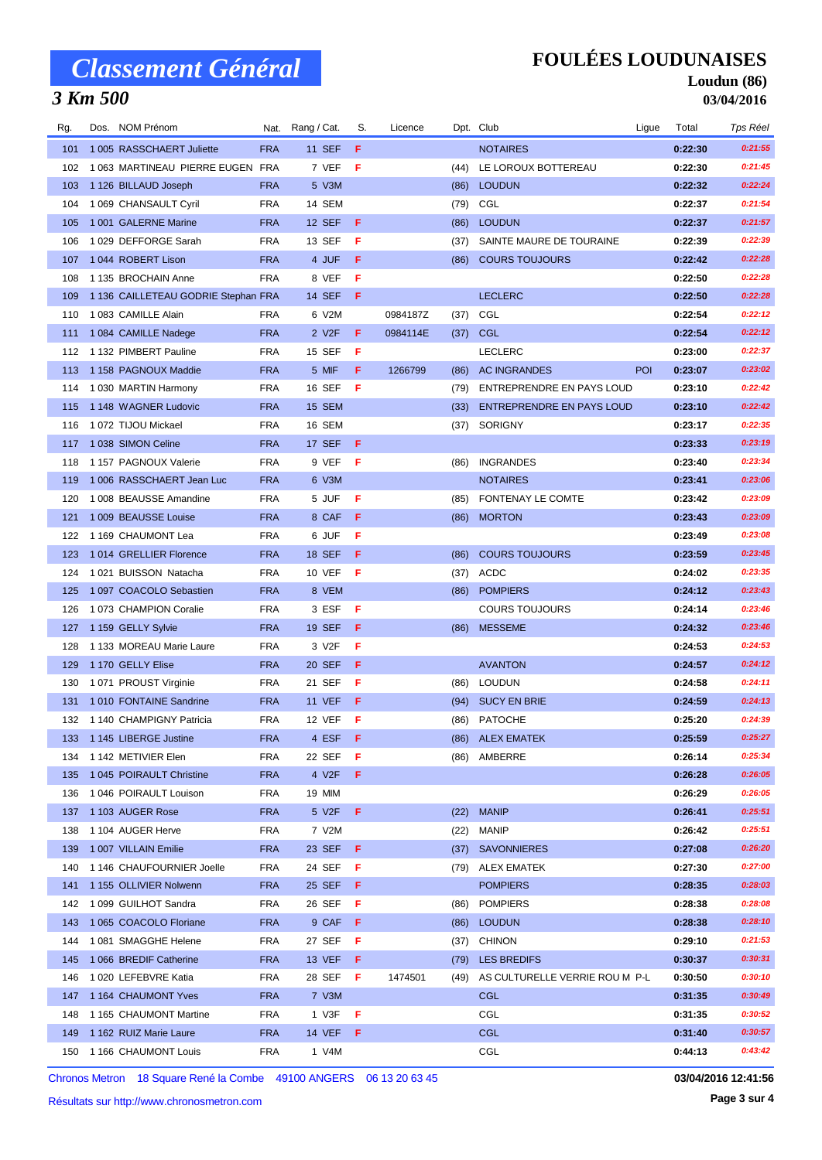### *3 Km 500*

## **FOULÉES LOUDUNAISES**

#### **Loudun (86) 03/04/2016**

| Rg. | Dos. NOM Prénom                     |            | Nat. Rang / Cat.   | S.  | Licence  |      | Dpt. Club                           | Ligue      | Total   | Tps Réel |
|-----|-------------------------------------|------------|--------------------|-----|----------|------|-------------------------------------|------------|---------|----------|
| 101 | 1 005 RASSCHAERT Juliette           | <b>FRA</b> | <b>11 SEF</b>      | F   |          |      | <b>NOTAIRES</b>                     |            | 0:22:30 | 0:21:55  |
| 102 | 1063 MARTINEAU PIERRE EUGEN FRA     |            | 7 VEF              | F   |          |      | (44) LE LOROUX BOTTEREAU            |            | 0:22:30 | 0:21:45  |
| 103 | 1 126 BILLAUD Joseph                | <b>FRA</b> | 5 V3M              |     |          |      | (86) LOUDUN                         |            | 0:22:32 | 0:22:24  |
| 104 | 1 069 CHANSAULT Cyril               | <b>FRA</b> | 14 SEM             |     |          |      | (79) CGL                            |            | 0:22:37 | 0:21:54  |
| 105 | 1 001 GALERNE Marine                | <b>FRA</b> | 12 SEF             | F   |          | (86) | <b>LOUDUN</b>                       |            | 0:22:37 | 0:21:57  |
| 106 | 1029 DEFFORGE Sarah                 | <b>FRA</b> | 13 SEF             | F   |          | (37) | SAINTE MAURE DE TOURAINE            |            | 0:22:39 | 0:22:39  |
| 107 | 1044 ROBERT Lison                   | <b>FRA</b> | 4 JUF              | F   |          | (86) | <b>COURS TOUJOURS</b>               |            | 0:22:42 | 0:22:28  |
| 108 | 1 135 BROCHAIN Anne                 | <b>FRA</b> | 8 VEF              | F   |          |      |                                     |            | 0:22:50 | 0:22:28  |
| 109 | 1 136 CAILLETEAU GODRIE Stephan FRA |            | 14 SEF             | F.  |          |      | <b>LECLERC</b>                      |            | 0:22:50 | 0:22:28  |
| 110 | 1 083 CAMILLE Alain                 | <b>FRA</b> | 6 V2M              |     | 0984187Z | (37) | CGL                                 |            | 0:22:54 | 0:22:12  |
| 111 | 1 084 CAMILLE Nadege                | <b>FRA</b> | 2 V <sub>2</sub> F | F   | 0984114E |      | $(37)$ CGL                          |            | 0:22:54 | 0:22:12  |
| 112 | 1 132 PIMBERT Pauline               | <b>FRA</b> | 15 SEF             | F   |          |      | <b>LECLERC</b>                      |            | 0:23:00 | 0:22:37  |
| 113 | 1 158 PAGNOUX Maddie                | <b>FRA</b> | 5 MIF              | F.  | 1266799  | (86) | AC INGRANDES                        | <b>POI</b> | 0:23:07 | 0:23:02  |
| 114 | 1 030 MARTIN Harmony                | <b>FRA</b> | 16 SEF             | F   |          | (79) | ENTREPRENDRE EN PAYS LOUD           |            | 0:23:10 | 0:22:42  |
| 115 | 1 148 WAGNER Ludovic                | <b>FRA</b> | 15 SEM             |     |          |      | (33) ENTREPRENDRE EN PAYS LOUD      |            | 0:23:10 | 0:22:42  |
| 116 | 1072 TIJOU Mickael                  | <b>FRA</b> | 16 SEM             |     |          | (37) | SORIGNY                             |            | 0:23:17 | 0:22:35  |
| 117 | 1038 SIMON Celine                   | <b>FRA</b> | 17 SEF             | - F |          |      |                                     |            | 0:23:33 | 0:23:19  |
| 118 | 1 157 PAGNOUX Valerie               | <b>FRA</b> | 9 VEF              | - F |          | (86) | <b>INGRANDES</b>                    |            | 0:23:40 | 0:23:34  |
| 119 | 1006 RASSCHAERT Jean Luc            | <b>FRA</b> | 6 V3M              |     |          |      | <b>NOTAIRES</b>                     |            | 0:23:41 | 0:23:06  |
| 120 | 1 008 BEAUSSE Amandine              | <b>FRA</b> | 5 JUF              | F   |          |      | (85) FONTENAY LE COMTE              |            | 0:23:42 | 0:23:09  |
| 121 | 1 009 BEAUSSE Louise                | <b>FRA</b> | 8 CAF              | F   |          |      | (86) MORTON                         |            | 0:23:43 | 0:23:09  |
| 122 | 1 169 CHAUMONT Lea                  | <b>FRA</b> | 6 JUF              | F   |          |      |                                     |            | 0:23:49 | 0:23:08  |
| 123 | 1014 GRELLIER Florence              | <b>FRA</b> | 18 SEF             | F   |          | (86) | <b>COURS TOUJOURS</b>               |            | 0:23:59 | 0:23:45  |
| 124 | 1021 BUISSON Natacha                | <b>FRA</b> | 10 VEF             | F   |          |      | $(37)$ ACDC                         |            | 0:24:02 | 0:23:35  |
| 125 | 1 097 COACOLO Sebastien             | <b>FRA</b> | 8 VEM              |     |          |      | (86) POMPIERS                       |            | 0:24:12 | 0:23:43  |
| 126 | 1073 CHAMPION Coralie               | <b>FRA</b> | 3 ESF              | F   |          |      | <b>COURS TOUJOURS</b>               |            | 0:24:14 | 0:23:46  |
| 127 | 1 159 GELLY Sylvie                  | <b>FRA</b> | 19 SEF             | F   |          | (86) | <b>MESSEME</b>                      |            | 0:24:32 | 0:23:46  |
| 128 | 1 133 MOREAU Marie Laure            | <b>FRA</b> | 3 V2F              | F   |          |      |                                     |            | 0:24:53 | 0:24:53  |
| 129 | 1 170 GELLY Elise                   | <b>FRA</b> | 20 SEF             | F   |          |      | <b>AVANTON</b>                      |            | 0:24:57 | 0:24:12  |
| 130 | 1071 PROUST Virginie                | <b>FRA</b> | 21 SEF             | F   |          | (86) | <b>LOUDUN</b>                       |            | 0:24:58 | 0:24:11  |
| 131 | 1010 FONTAINE Sandrine              | <b>FRA</b> | <b>11 VEF</b>      | F   |          |      | (94) SUCY EN BRIE                   |            | 0:24:59 | 0:24:13  |
| 132 | 1 140 CHAMPIGNY Patricia            | <b>FRA</b> | 12 VEF             | F   |          |      | (86) PATOCHE                        |            | 0:25:20 | 0:24:39  |
|     | 133 1145 LIBERGE Justine            | <b>FRA</b> | 4 ESF F            |     |          |      | (86) ALEX EMATEK                    |            | 0:25:59 | 0:25:27  |
| 134 | 1 142 METIVIER Elen                 | <b>FRA</b> | 22 SEF             | F   |          | (86) | AMBERRE                             |            | 0:26:14 | 0:25:34  |
| 135 | 1 045 POIRAULT Christine            | <b>FRA</b> | 4 V2F              | F   |          |      |                                     |            | 0:26:28 | 0:26:05  |
| 136 | 1 046 POIRAULT Louison              | <b>FRA</b> | 19 MIM             |     |          |      |                                     |            | 0:26:29 | 0:26:05  |
| 137 | 1 103 AUGER Rose                    | <b>FRA</b> | 5 V2F              | F   |          | (22) | <b>MANIP</b>                        |            | 0:26:41 | 0:25:51  |
| 138 | 1 104 AUGER Herve                   | <b>FRA</b> | 7 V2M              |     |          | (22) | <b>MANIP</b>                        |            | 0:26:42 | 0:25:51  |
| 139 | 1 007 VILLAIN Emilie                | <b>FRA</b> | 23 SEF             | F   |          |      | (37) SAVONNIERES                    |            | 0:27:08 | 0:26:20  |
| 140 | 1 146 CHAUFOURNIER Joelle           | <b>FRA</b> | 24 SEF             | F   |          | (79) | ALEX EMATEK                         |            | 0:27:30 | 0:27:00  |
| 141 | 1 155 OLLIVIER Nolwenn              | <b>FRA</b> | 25 SEF             | F   |          |      | <b>POMPIERS</b>                     |            | 0:28:35 | 0:28:03  |
| 142 | 1 099 GUILHOT Sandra                | FRA        | 26 SEF             | F   |          | (86) | <b>POMPIERS</b>                     |            | 0:28:38 | 0:28:08  |
| 143 | 1 065 COACOLO Floriane              | <b>FRA</b> | 9 CAF              | F   |          |      | (86) LOUDUN                         |            | 0:28:38 | 0:28:10  |
| 144 | 1081 SMAGGHE Helene                 | <b>FRA</b> | 27 SEF             | -F  |          | (37) | <b>CHINON</b>                       |            | 0:29:10 | 0:21:53  |
| 145 | 1 066 BREDIF Catherine              | <b>FRA</b> | 13 VEF             | F   |          | (79) | <b>LES BREDIFS</b>                  |            | 0:30:37 | 0:30:31  |
| 146 | 1020 LEFEBVRE Katia                 | <b>FRA</b> | 28 SEF             | F.  | 1474501  |      | (49) AS CULTURELLE VERRIE ROU M P-L |            | 0:30:50 | 0:30:10  |
| 147 | 1 164 CHAUMONT Yves                 | <b>FRA</b> | 7 V3M              |     |          |      | <b>CGL</b>                          |            | 0:31:35 | 0:30:49  |
| 148 | 1 165 CHAUMONT Martine              | <b>FRA</b> | 1 V3F              | F   |          |      | CGL                                 |            | 0:31:35 | 0:30:52  |
| 149 | 1 162 RUIZ Marie Laure              | <b>FRA</b> | <b>14 VEF</b>      | F   |          |      | <b>CGL</b>                          |            | 0:31:40 | 0:30:57  |
| 150 | 1 166 CHAUMONT Louis                | FRA        | 1 V4M              |     |          |      | CGL                                 |            | 0:44:13 | 0:43:42  |

Chronos Metron 18 Square René la Combe 49100 ANGERS 06 13 20 63 45